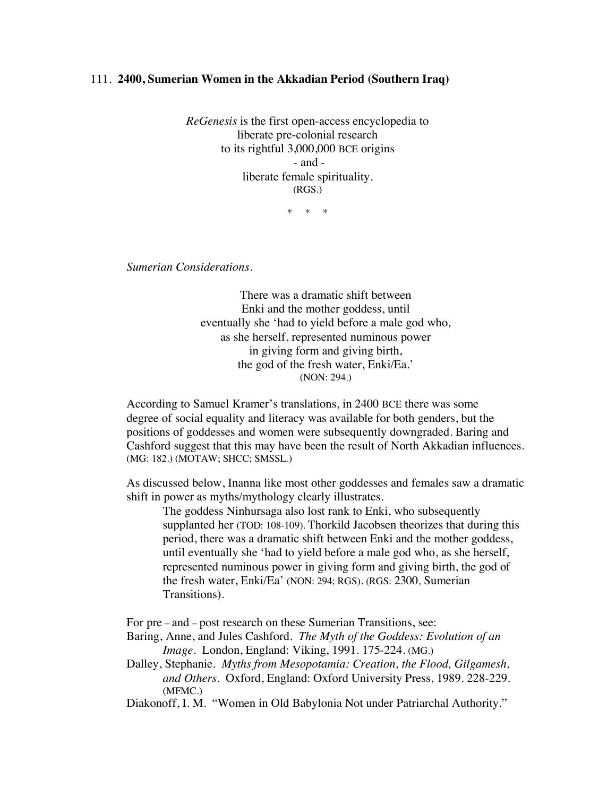## 111. **2400, Sumerian Women in the Akkadian Period (Southern Iraq)**

*ReGenesis* is the first open-access encyclopedia to liberate pre-colonial research to its rightful 3,000,000 BCE origins - and liberate female spirituality. (RGS.)

\* \* \*

*Sumerian Considerations.*

There was a dramatic shift between Enki and the mother goddess, until eventually she 'had to yield before a male god who, as she herself, represented numinous power in giving form and giving birth, the god of the fresh water, Enki/Ea.' (NON: 294.)

According to Samuel Kramer's translations, in 2400 BCE there was some degree of social equality and literacy was available for both genders, but the positions of goddesses and women were subsequently downgraded. Baring and Cashford suggest that this may have been the result of North Akkadian influences. (MG: 182.) (MOTAW; SHCC; SMSSL.)

As discussed below, Inanna like most other goddesses and females saw a dramatic shift in power as myths/mythology clearly illustrates.

The goddess Ninhursaga also lost rank to Enki, who subsequently supplanted her (TOD: 108-109). Thorkild Jacobsen theorizes that during this period, there was a dramatic shift between Enki and the mother goddess, until eventually she 'had to yield before a male god who, as she herself, represented numinous power in giving form and giving birth, the god of the fresh water, Enki/Ea' (NON: 294; RGS). (RGS: 2300, Sumerian Transitions).

For pre – and – post research on these Sumerian Transitions, see:

- Baring, Anne, and Jules Cashford. *The Myth of the Goddess: Evolution of an Image*. London, England: Viking, 1991. 175-224. (MG.)
- Dalley, Stephanie. *Myths from Mesopotamia: Creation, the Flood, Gilgamesh, and Others*. Oxford, England: Oxford University Press, 1989. 228-229. (MFMC.)

Diakonoff, I. M. "Women in Old Babylonia Not under Patriarchal Authority."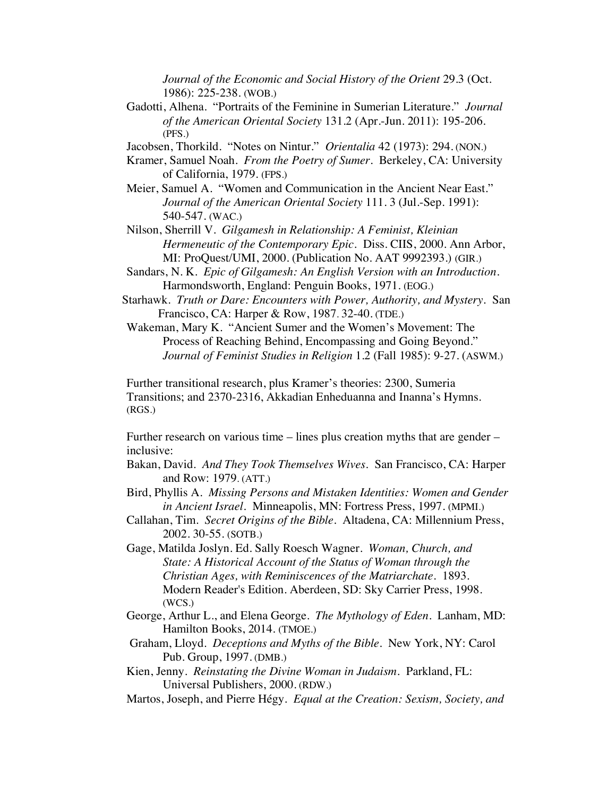*Journal of the Economic and Social History of the Orient* 29.3 (Oct. 1986): 225-238. (WOB.)

Gadotti, Alhena. "Portraits of the Feminine in Sumerian Literature." *Journal of the American Oriental Society* 131.2 (Apr.-Jun. 2011): 195-206. (PFS.)

Jacobsen, Thorkild. "Notes on Nintur." *Orientalia* 42 (1973): 294. (NON.)

- Kramer, Samuel Noah. *From the Poetry of Sumer*. Berkeley, CA: University of California, 1979. (FPS.)
- Meier, Samuel A. "Women and Communication in the Ancient Near East." *Journal of the American Oriental Society* 111. 3 (Jul.-Sep. 1991): 540-547. (WAC.)
- Nilson, Sherrill V. *Gilgamesh in Relationship: A Feminist, Kleinian Hermeneutic of the Contemporary Epic.* Diss. CIIS, 2000. Ann Arbor, MI: ProQuest/UMI, 2000. (Publication No. AAT 9992393.) (GIR.)
- Sandars, N. K. *Epic of Gilgamesh: An English Version with an Introduction.* Harmondsworth, England: Penguin Books, 1971. (EOG.)
- Starhawk. *Truth or Dare: Encounters with Power, Authority, and Mystery.* San Francisco, CA: Harper & Row, 1987. 32-40. (TDE.)
- Wakeman, Mary K. "Ancient Sumer and the Women's Movement: The Process of Reaching Behind, Encompassing and Going Beyond." *Journal of Feminist Studies in Religion* 1.2 (Fall 1985): 9-27. (ASWM.)

Further transitional research, plus Kramer's theories: 2300, Sumeria Transitions; and 2370-2316, Akkadian Enheduanna and Inanna's Hymns. (RGS.)

Further research on various time – lines plus creation myths that are gender – inclusive:

- Bakan, David. *And They Took Themselves Wives*. San Francisco, CA: Harper and Row: 1979. (ATT.)
- Bird, Phyllis A. *Missing Persons and Mistaken Identities: Women and Gender in Ancient Israel.* Minneapolis, MN: Fortress Press, 1997. (MPMI.)
- Callahan, Tim. *Secret Origins of the Bible.* Altadena, CA: Millennium Press, 2002. 30-55. (SOTB.)
- Gage, Matilda Joslyn. Ed. Sally Roesch Wagner. *Woman, Church, and State: A Historical Account of the Status of Woman through the Christian Ages, with Reminiscences of the Matriarchate*. 1893. Modern Reader's Edition. Aberdeen, SD: Sky Carrier Press, 1998. (WCS.)
- George, Arthur L., and Elena George. *The Mythology of Eden*. Lanham, MD: Hamilton Books, 2014. (TMOE.)
- Graham, Lloyd. *Deceptions and Myths of the Bible*. New York, NY: Carol Pub. Group, 1997. (DMB.)
- Kien, Jenny. *Reinstating the Divine Woman in Judaism.* Parkland, FL: Universal Publishers, 2000. (RDW.)
- Martos, Joseph, and Pierre Hégy. *Equal at the Creation: Sexism, Society, and*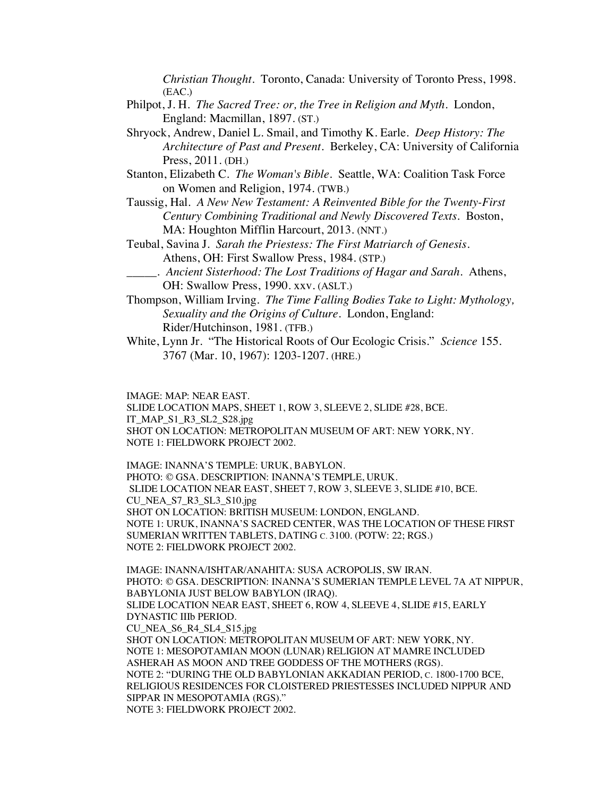*Christian Thought*. Toronto, Canada: University of Toronto Press, 1998. (EAC.)

- Philpot, J. H. *The Sacred Tree: or, the Tree in Religion and Myth*. London, England: Macmillan, 1897. (ST.)
- Shryock, Andrew, Daniel L. Smail, and Timothy K. Earle. *Deep History: The Architecture of Past and Present*. Berkeley, CA: University of California Press, 2011. (DH.)
- Stanton, Elizabeth C. *The Woman's Bible*. Seattle, WA: Coalition Task Force on Women and Religion, 1974. (TWB.)
- Taussig, Hal. *A New New Testament: A Reinvented Bible for the Twenty-First Century Combining Traditional and Newly Discovered Texts*. Boston, MA: Houghton Mifflin Harcourt, 2013. (NNT.)
- Teubal, Savina J. *Sarah the Priestess: The First Matriarch of Genesis*. Athens, OH: First Swallow Press, 1984. (STP.)
- \_\_\_\_\_. *Ancient Sisterhood: The Lost Traditions of Hagar and Sarah*. Athens, OH: Swallow Press, 1990. xxv. (ASLT.)
- Thompson, William Irving. *The Time Falling Bodies Take to Light: Mythology, Sexuality and the Origins of Culture.* London, England: Rider/Hutchinson, 1981. (TFB.)
- White, Lynn Jr. "The Historical Roots of Our Ecologic Crisis." *Science* 155. 3767 (Mar. 10, 1967): 1203-1207. (HRE.)

IMAGE: MAP: NEAR EAST.

SLIDE LOCATION MAPS, SHEET 1, ROW 3, SLEEVE 2, SLIDE #28, BCE. IT\_MAP\_S1\_R3\_SL2\_S28.jpg SHOT ON LOCATION: METROPOLITAN MUSEUM OF ART: NEW YORK, NY. NOTE 1: FIELDWORK PROJECT 2002.

IMAGE: INANNA'S TEMPLE: URUK, BABYLON. PHOTO: © GSA. DESCRIPTION: INANNA'S TEMPLE, URUK. SLIDE LOCATION NEAR EAST, SHEET 7, ROW 3, SLEEVE 3, SLIDE #10, BCE. CU\_NEA\_S7\_R3\_SL3\_S10.jpg SHOT ON LOCATION: BRITISH MUSEUM: LONDON, ENGLAND. NOTE 1: URUK, INANNA'S SACRED CENTER, WAS THE LOCATION OF THESE FIRST SUMERIAN WRITTEN TABLETS, DATING C. 3100. (POTW: 22; RGS.) NOTE 2: FIELDWORK PROJECT 2002.

IMAGE: INANNA/ISHTAR/ANAHITA: SUSA ACROPOLIS, SW IRAN. PHOTO: © GSA. DESCRIPTION: INANNA'S SUMERIAN TEMPLE LEVEL 7A AT NIPPUR, BABYLONIA JUST BELOW BABYLON (IRAQ). SLIDE LOCATION NEAR EAST, SHEET 6, ROW 4, SLEEVE 4, SLIDE #15, EARLY DYNASTIC IIIb PERIOD. CU\_NEA\_S6\_R4\_SL4\_S15.jpg SHOT ON LOCATION: METROPOLITAN MUSEUM OF ART: NEW YORK, NY. NOTE 1: MESOPOTAMIAN MOON (LUNAR) RELIGION AT MAMRE INCLUDED ASHERAH AS MOON AND TREE GODDESS OF THE MOTHERS (RGS). NOTE 2: "DURING THE OLD BABYLONIAN AKKADIAN PERIOD, C. 1800-1700 BCE, RELIGIOUS RESIDENCES FOR CLOISTERED PRIESTESSES INCLUDED NIPPUR AND SIPPAR IN MESOPOTAMIA (RGS)." NOTE 3: FIELDWORK PROJECT 2002.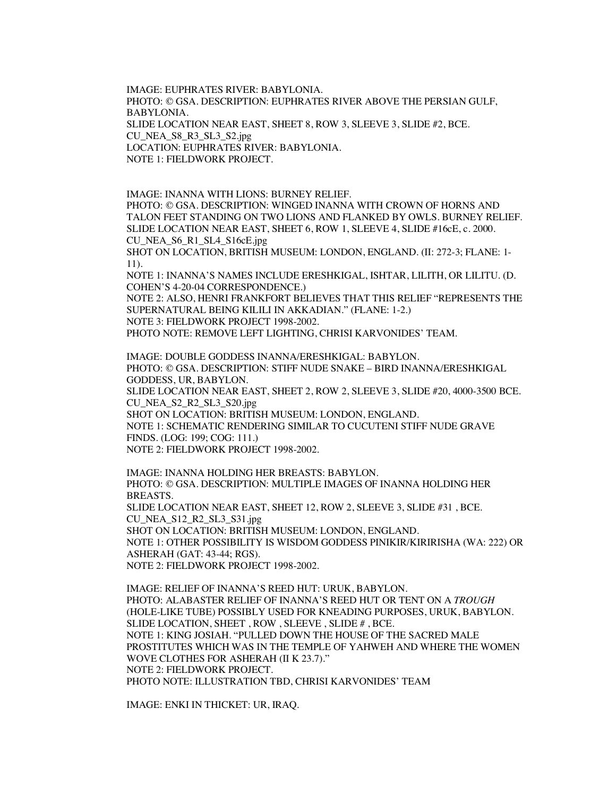IMAGE: EUPHRATES RIVER: BABYLONIA. PHOTO: © GSA. DESCRIPTION: EUPHRATES RIVER ABOVE THE PERSIAN GULF, BABYLONIA. SLIDE LOCATION NEAR EAST, SHEET 8, ROW 3, SLEEVE 3, SLIDE #2, BCE. CU\_NEA\_S8\_R3\_SL3\_S2.jpg LOCATION: EUPHRATES RIVER: BABYLONIA. NOTE 1: FIELDWORK PROJECT.

IMAGE: INANNA WITH LIONS: BURNEY RELIEF. PHOTO: © GSA. DESCRIPTION: WINGED INANNA WITH CROWN OF HORNS AND TALON FEET STANDING ON TWO LIONS AND FLANKED BY OWLS. BURNEY RELIEF. SLIDE LOCATION NEAR EAST, SHEET 6, ROW 1, SLEEVE 4, SLIDE #16cE, c. 2000. CU\_NEA\_S6\_R1\_SL4\_S16cE.jpg

SHOT ON LOCATION, BRITISH MUSEUM: LONDON, ENGLAND. (II: 272-3; FLANE: 1- 11).

NOTE 1: INANNA'S NAMES INCLUDE ERESHKIGAL, ISHTAR, LILITH, OR LILITU. (D. COHEN'S 4-20-04 CORRESPONDENCE.)

NOTE 2: ALSO, HENRI FRANKFORT BELIEVES THAT THIS RELIEF "REPRESENTS THE SUPERNATURAL BEING KILILI IN AKKADIAN." (FLANE: 1-2.) NOTE 3: FIELDWORK PROJECT 1998-2002.

PHOTO NOTE: REMOVE LEFT LIGHTING, CHRISI KARVONIDES' TEAM.

IMAGE: DOUBLE GODDESS INANNA/ERESHKIGAL: BABYLON. PHOTO: © GSA. DESCRIPTION: STIFF NUDE SNAKE – BIRD INANNA/ERESHKIGAL GODDESS, UR, BABYLON. SLIDE LOCATION NEAR EAST, SHEET 2, ROW 2, SLEEVE 3, SLIDE #20, 4000-3500 BCE. CU\_NEA\_S2\_R2\_SL3\_S20.jpg SHOT ON LOCATION: BRITISH MUSEUM: LONDON, ENGLAND. NOTE 1: SCHEMATIC RENDERING SIMILAR TO CUCUTENI STIFF NUDE GRAVE FINDS. (LOG: 199; COG: 111.)

NOTE 2: FIELDWORK PROJECT 1998-2002.

IMAGE: INANNA HOLDING HER BREASTS: BABYLON. PHOTO: © GSA. DESCRIPTION: MULTIPLE IMAGES OF INANNA HOLDING HER BREASTS. SLIDE LOCATION NEAR EAST, SHEET 12, ROW 2, SLEEVE 3, SLIDE #31 , BCE. CU\_NEA\_S12\_R2\_SL3\_S31.jpg SHOT ON LOCATION: BRITISH MUSEUM: LONDON, ENGLAND. NOTE 1: OTHER POSSIBILITY IS WISDOM GODDESS PINIKIR/KIRIRISHA (WA: 222) OR ASHERAH (GAT: 43-44; RGS). NOTE 2: FIELDWORK PROJECT 1998-2002.

IMAGE: RELIEF OF INANNA'S REED HUT: URUK, BABYLON. PHOTO: ALABASTER RELIEF OF INANNA'S REED HUT OR TENT ON A *TROUGH* (HOLE-LIKE TUBE) POSSIBLY USED FOR KNEADING PURPOSES, URUK, BABYLON. SLIDE LOCATION, SHEET , ROW , SLEEVE , SLIDE # , BCE. NOTE 1: KING JOSIAH. "PULLED DOWN THE HOUSE OF THE SACRED MALE PROSTITUTES WHICH WAS IN THE TEMPLE OF YAHWEH AND WHERE THE WOMEN WOVE CLOTHES FOR ASHERAH (II K 23.7)." NOTE 2: FIELDWORK PROJECT. PHOTO NOTE: ILLUSTRATION TBD, CHRISI KARVONIDES' TEAM

IMAGE: ENKI IN THICKET: UR, IRAQ.